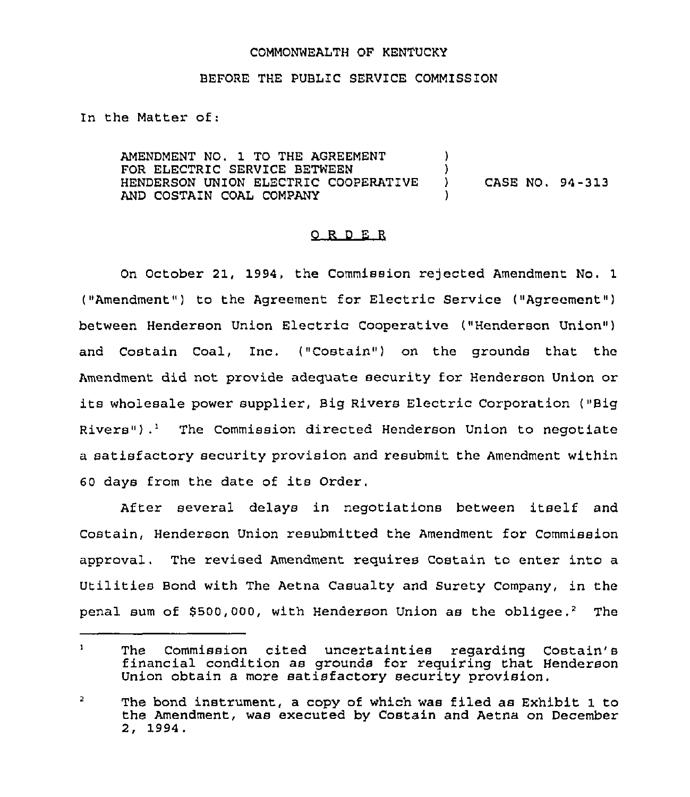## COMMONWEALTH OF KENTUCKY

## BEFORE THE PUBLIC SERVICE COMMISSION

In the Matter of:

AMENDMENT NO. 1 TO THE AGREEMENT FOR ELECTRIC SERVICE BETWEEN HENDERSON UNION ELECTRIC COOPERATIVE AND COSTAIN COAL COMPANY )  $\frac{1}{2}$ ) CASE NO. 94-313 )

## 0 R <sup>D</sup> E R

On October 21, 1994, the Commission rejected Amendment No. 1 ("Amendment") to the Agreement for Electric Service ("Agreement") between Henderson Union Electric Cooperative ("Henderson Union4) and Costain Coal, Inc. ("Costain") on the grounds that the Amendment did not provide adequate security for Henderson Union or its wholesale power supplier, Big Rivers Electric Corporation ("Big Rivers").<sup>1</sup> The Commission directed Henderson Union to negotiate a satisfactory security provision and resubmit the Amendment within <sup>60</sup> days from the date of its Order.

After several delays in negotiations between itself and Costain, Henderson Union resubmitted the Amendment for Commission approval, The revised Amendment requires Costain to enter into a Utilities Bond with The Aetna Casualty and Surety Company, in the penal sum of \$500,000, with Henderson Union as the obliqee.<sup>2</sup> The

 $\mathbf{1}$ The Commission cited uncertainties regarding Costain's financial condition as grounds for requiring that Henderson Union obtain a more satisfactory security provision.

 $\overline{2}$ The bond instrument, a copy of which was filed as Exhibit 1 to the Amendment, was executed by Costain and Aetna on December 2, 1994.